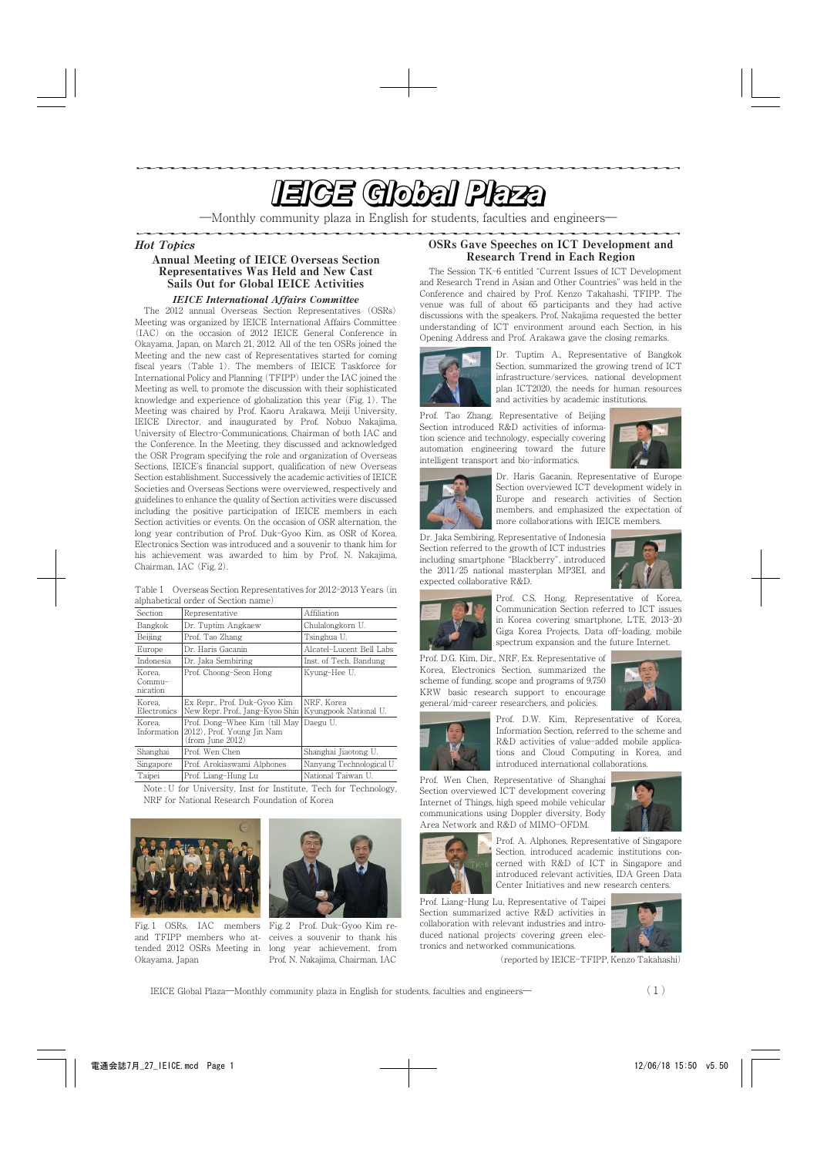# <u>e de la componentación de la componentación de la componentación de la componentación de la componentación de la componentación de la componentación de la componentación de la componentación de la componentación de la com</u>

―Monthly community plaza in English for students, faculties and engineers―

#### Hot Topics

## Annual Meeting of IEICE Overseas Section Representatives Was Held and New Cast Sails Out for Global IEICE Activities

## IEICE International Affairs Committee

The 2012 annual Overseas Section Representatives (OSRs) Meeting was organized by IEICE International Affairs Committee (IAC) on the occasion of 2012 IEICE General Conference in Okayama, Japan, on March 21, 2012. All of the ten OSRs joined the Meeting and the new cast of Representatives started for coming fiscal years (Table 1). The members of IEICE Taskforce for International Policy and Planning (TFIPP) under the IAC joined the Meeting as well, to promote the discussion with their sophisticated knowledge and experience of globalization this year (Fig. 1). The Meeting was chaired by Prof. Kaoru Arakawa, Meiji University, IEICE Director, and inaugurated by Prof. Nobuo Nakajima, University of Electro-Communications, Chairman of both IAC and the Conference. In the Meeting, they discussed and acknowledged the OSR Program specifying the role and organization of Overseas Sections, IEICE's financial support, qualification of new Overseas Section establishment. Successively the academic activities of IEICE Societies and Overseas Sections were overviewed, respectively and guidelines to enhance the quality of Section activities were discussed including the positive participation of IEICE members in each Section activities or events. On the occasion of OSR alternation, the long year contribution of Prof. Duk-Gyoo Kim, as OSR of Korea, Electronics Section was introduced and a souvenir to thank him for his achievement was awarded to him by Prof. N. Nakajima, Chairman, IAC (Fig. 2).

Table 1 Overseas Section Representatives for 2012-2013 Years (in alphabetical order of Section name)

| Section                          | Representative                                                                  | Affiliation                         |  |
|----------------------------------|---------------------------------------------------------------------------------|-------------------------------------|--|
| Bangkok                          | Dr. Tuptim Angkaew                                                              | Chulalongkorn U.                    |  |
| Beijing                          | Prof. Tao Zhang                                                                 | Tsinghua U.                         |  |
| Europe                           | Dr. Haris Gacanin                                                               | Alcatel-Lucent Bell Labs            |  |
| Indonesia                        | Dr. Jaka Sembiring                                                              | Inst. of Tech. Bandung              |  |
| Korea.<br>$Common1-$<br>nication | Prof. Choong-Seon Hong                                                          | Kyung-Hee U.                        |  |
| Korea.<br>Electronics            | Ex Repr., Prof. Duk-Gyoo Kim<br>New Repr. Prof., Jang-Kyoo Shin                 | NRF. Korea<br>Kyungpook National U. |  |
| Korea.<br>Information            | Prof. Dong-Whee Kim (till May<br>2012). Prof. Young Jin Nam<br>(from June 2012) | Daegu U.                            |  |
| Shanghai                         | Prof. Wen Chen                                                                  | Shanghai Jiaotong U.                |  |
| Singapore                        | Prof. Arokiaswami Alphones                                                      | Nanyang Technological U             |  |
| Taipei                           | Prof. Liang-Hung Lu                                                             | National Taiwan U.                  |  |

Note : U for University, Inst for Institute, Tech for Technology, NRF for National Research Foundation of Korea



Fig. 1 OSRs, IAC members and TFIPP members who attended 2012 OSRs Meeting in Okayama, Japan



Fig. 2 Prof. Duk-Gyoo Kim receives a souvenir to thank his long year achievement, from Prof. N. Nakajima, Chairman, IAC

## OSRs Gave Speeches on ICT Development and Research Trend in Each Region

The Session TK-6 entitled "Current Issues of ICT Development and Research Trend in Asian and Other Countries" was held in the Conference and chaired by Prof. Kenzo Takahashi, TFIPP. The venue was full of about 65 participants and they had active discussions with the speakers. Prof. Nakajima requested the better understanding of ICT environment around each Section, in his Opening Address and Prof. Arakawa gave the closing remarks.



Dr. Tuptim A., Representative of Bangkok Section, summarized the growing trend of ICT infrastructure/services, national development plan ICT2020, the needs for human resources and activities by academic institutions.

Prof. Tao Zhang, Representative of Beijing Section introduced R&D activities of information science and technology, especially covering automation engineering toward the future intelligent transport and bio-informatics.





Dr. Haris Gacanin, Representative of Europe Section overviewed ICT development widely in Europe and research activities of Section members, and emphasized the expectation of more collaborations with IEICE members.

Dr. Jaka Sembiring, Representative of Indonesia Section referred to the growth of ICT industries including smartphone "Blackberry", introduced the 2011/25 national masterplan MP3EI, and expected collaborative R&D.





Prof. C.S. Hong, Representative of Korea, Communication Section referred to ICT issues in Korea covering smartphone, LTE, 2013-20 Giga Korea Projects, Data off-loading, mobile spectrum expansion and the future Internet.

Prof. D.G. Kim, Dir., NRF, Ex. Representative of Korea, Electronics Section, summarized the scheme of funding, scope and programs of 9,750 KRW basic research support to encourage general/mid-career researchers, and policies.





Prof. D.W. Kim, Representative of Korea, Information Section, referred to the scheme and R&D activities of value-added mobile applications and Cloud Computing in Korea, and introduced international collaborations.

Prof. Wen Chen, Representative of Shanghai Section overviewed ICT development covering Internet of Things, high speed mobile vehicular communications using Doppler diversity, Body Area Network and R&D of MIMO-OFDM.



Prof. A. Alphones, Representative of Singapore Section, introduced academic institutions concerned with R&D of ICT in Singapore and introduced relevant activities, IDA Green Data Center Initiatives and new research centers.

Prof. Liang-Hung Lu, Representative of Taipei Section summarized active R&D activities in collaboration with relevant industries and introduced national projects covering green electronics and networked communications.



(reported by IEICE-TFIPP, Kenzo Takahashi)